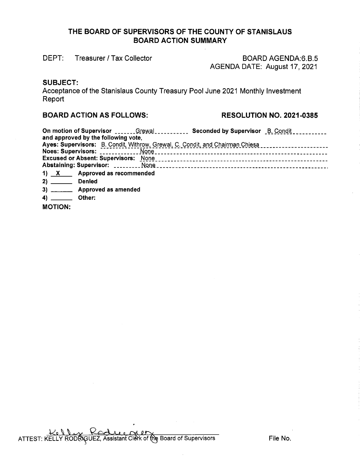# **THE BOARD OF SUPERVISORS OF THE COUNTY OF STANISLAUS BOARD ACTION SUMMARY**

DEPT: Treasurer / Tax Collector

BOARD AGENDA:6.8.5 AGENDA DATE: August 17, 2021

### **SUBJECT:**

Acceptance of the Stanislaus County Treasury Pool June 2021 Monthly Investment **Report** 

#### **BOARD ACTION AS FOLLOWS: RESOLUTION NO. 2021-0385**

|                                                  | On motion of Supervisor ______Grewal __________ Seconded by Supervisor B. Condit __________                                                                           |  |
|--------------------------------------------------|-----------------------------------------------------------------------------------------------------------------------------------------------------------------------|--|
| and approved by the following vote,              |                                                                                                                                                                       |  |
|                                                  | Ayes: Supervisors: B. Condit, Withrow, Grewal, C. Condit, and Chairman Chiesa [11] [12] Ayes: Supervisors: B. Condit, Withrow, Grewal, C. Condit, and Chairman Chiesa |  |
|                                                  |                                                                                                                                                                       |  |
|                                                  |                                                                                                                                                                       |  |
|                                                  |                                                                                                                                                                       |  |
| 1) $X$ Approved as recommended                   |                                                                                                                                                                       |  |
| 2) Denied                                        |                                                                                                                                                                       |  |
| 3) __________ Approved as amended                |                                                                                                                                                                       |  |
| <b>AND CONTRACTOR</b><br>$\sim$ 44 $\sim$ $\sim$ |                                                                                                                                                                       |  |

**4)** \_\_\_ **Other:** 

**MOTION:**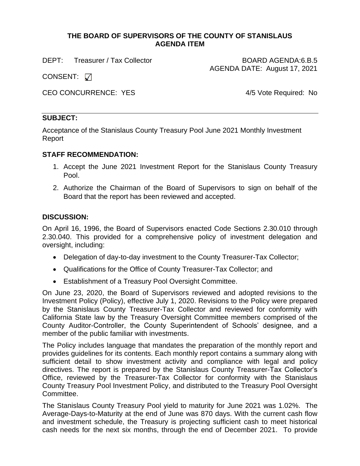#### **THE BOARD OF SUPERVISORS OF THE COUNTY OF STANISLAUS AGENDA ITEM**

DEPT: Treasurer / Tax Collector **BOARD AGENDA:6.B.5** 

AGENDA DATE: August 17, 2021

CONSENT:  $\sqrt{ }$ 

CEO CONCURRENCE: YES
<br>
4/5 Vote Required: No

# **SUBJECT:**

Acceptance of the Stanislaus County Treasury Pool June 2021 Monthly Investment Report

# **STAFF RECOMMENDATION:**

- 1. Accept the June 2021 Investment Report for the Stanislaus County Treasury Pool.
- 2. Authorize the Chairman of the Board of Supervisors to sign on behalf of the Board that the report has been reviewed and accepted.

# **DISCUSSION:**

On April 16, 1996, the Board of Supervisors enacted Code Sections 2.30.010 through 2.30.040. This provided for a comprehensive policy of investment delegation and oversight, including:

- Delegation of day-to-day investment to the County Treasurer-Tax Collector;
- Qualifications for the Office of County Treasurer-Tax Collector; and
- Establishment of a Treasury Pool Oversight Committee.

On June 23, 2020, the Board of Supervisors reviewed and adopted revisions to the Investment Policy (Policy), effective July 1, 2020. Revisions to the Policy were prepared by the Stanislaus County Treasurer-Tax Collector and reviewed for conformity with California State law by the Treasury Oversight Committee members comprised of the County Auditor-Controller, the County Superintendent of Schools' designee, and a member of the public familiar with investments.

The Policy includes language that mandates the preparation of the monthly report and provides guidelines for its contents. Each monthly report contains a summary along with sufficient detail to show investment activity and compliance with legal and policy directives. The report is prepared by the Stanislaus County Treasurer-Tax Collector's Office, reviewed by the Treasurer-Tax Collector for conformity with the Stanislaus County Treasury Pool Investment Policy, and distributed to the Treasury Pool Oversight Committee.

The Stanislaus County Treasury Pool yield to maturity for June 2021 was 1.02%. The Average-Days-to-Maturity at the end of June was 870 days. With the current cash flow and investment schedule, the Treasury is projecting sufficient cash to meet historical cash needs for the next six months, through the end of December 2021. To provide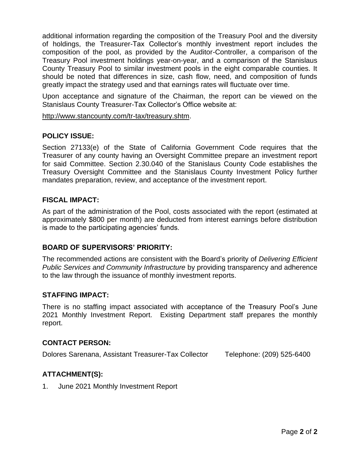additional information regarding the composition of the Treasury Pool and the diversity of holdings, the Treasurer-Tax Collector's monthly investment report includes the composition of the pool, as provided by the Auditor-Controller, a comparison of the Treasury Pool investment holdings year-on-year, and a comparison of the Stanislaus County Treasury Pool to similar investment pools in the eight comparable counties. It should be noted that differences in size, cash flow, need, and composition of funds greatly impact the strategy used and that earnings rates will fluctuate over time.

Upon acceptance and signature of the Chairman, the report can be viewed on the Stanislaus County Treasurer-Tax Collector's Office website at:

[http://www.stancounty.com/tr-tax/treasury.shtm.](http://www.stancounty.com/tr-tax/treasury.shtm)

### **POLICY ISSUE:**

Section 27133(e) of the State of California Government Code requires that the Treasurer of any county having an Oversight Committee prepare an investment report for said Committee. Section 2.30.040 of the Stanislaus County Code establishes the Treasury Oversight Committee and the Stanislaus County Investment Policy further mandates preparation, review, and acceptance of the investment report.

#### **FISCAL IMPACT:**

As part of the administration of the Pool, costs associated with the report (estimated at approximately \$800 per month) are deducted from interest earnings before distribution is made to the participating agencies' funds.

### **BOARD OF SUPERVISORS' PRIORITY:**

The recommended actions are consistent with the Board's priority of *Delivering Efficient Public Services and Community Infrastructure* by providing transparency and adherence to the law through the issuance of monthly investment reports.

#### **STAFFING IMPACT:**

There is no staffing impact associated with acceptance of the Treasury Pool's June 2021 Monthly Investment Report. Existing Department staff prepares the monthly report.

#### **CONTACT PERSON:**

Dolores Sarenana, Assistant Treasurer-Tax Collector Telephone: (209) 525-6400

### **ATTACHMENT(S):**

1. June 2021 Monthly Investment Report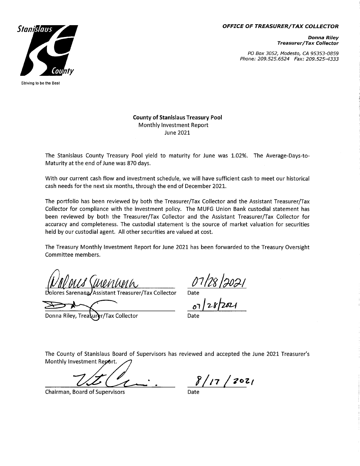#### **OFFICE OF TREASURER/TAX COLLECTOR**



PO Box 3052, Modesto, CA 95353-0859 Phone: 209.525.6524 Fax: 209.525-4333



Striving to be the Best

**County of Stanislaus Treasury Pool** Monthly Investment Report **June 2021** 

The Stanislaus County Treasury Pool yield to maturity for June was 1.02%. The Average-Days-to-Maturity at the end of June was 870 days.

With our current cash flow and investment schedule, we will have sufficient cash to meet our historical cash needs for the next six months, through the end of December 2021.

The portfolio has been reviewed by both the Treasurer/Tax Collector and the Assistant Treasurer/Tax Collector for compliance with the investment policy. The MUFG Union Bank custodial statement has been reviewed by both the Treasurer/Tax Collector and the Assistant Treasurer/Tax Collector for accuracy and completeness. The custodial statement is the source of market valuation for securities held by our custodial agent. All other securities are valued at cost.

The Treasury Monthly Investment Report for June 2021 has been forwarded to the Treasury Oversight Committee members.

Mentina

Assistant Treasurer/Tax Collector

Donna Riley, Trea er/Tax Collector

 $\frac{07/28}{200}$ 

The County of Stanislaus Board of Supervisors has reviewed and accepted the June 2021 Treasurer's Monthly Investment Report.

Chairman, Board of Supervisors

 $8/17/2021$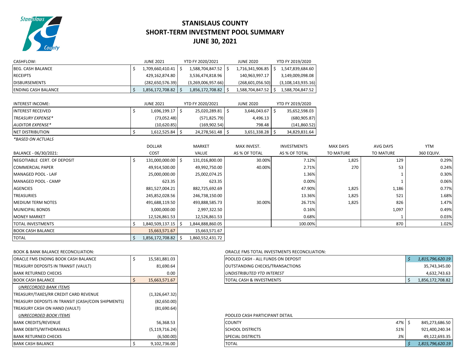

# **STANISLAUS COUNTY SHORT-TERM INVESTMENT POOL SUMMARY JUNE 30, 2021**

| CASHFLOW:                   |    | <b>JUNE 2021</b>      |    | YTD FY 2020/2021      | <b>JUNE 2020</b>        | YTD FY 2019/2020      |                  |                  |            |
|-----------------------------|----|-----------------------|----|-----------------------|-------------------------|-----------------------|------------------|------------------|------------|
| <b>BEG. CASH BALANCE</b>    |    | 1,709,660,410.41   \$ |    | 1,588,704,847.52   \$ | 1,716,341,906.85        | 1,547,839,684.60      |                  |                  |            |
| <b>RECEIPTS</b>             |    | 429,162,874.80        |    | 3,536,474,818.96      | 140,963,997.17          | 3,149,009,098.08      |                  |                  |            |
| <b>DISBURSEMENTS</b>        |    | (282, 650, 576.39)    |    | (3,269,006,957.66)    | (268, 601, 056.50)      | (3, 108, 143, 935.16) |                  |                  |            |
| <b>ENDING CASH BALANCE</b>  |    | 1,856,172,708.82   \$ |    | 1,856,172,708.82   \$ | $1,588,704,847.52$   \$ | 1,588,704,847.52      |                  |                  |            |
| <b>INTEREST INCOME:</b>     |    | <b>JUNE 2021</b>      |    | YTD FY 2020/2021      | <b>JUNE 2020</b>        | YTD FY 2019/2020      |                  |                  |            |
| <b>INTEREST RECEIVED</b>    | Ŝ  | 1,696,199.17 \$       |    | 25,020,289.81 \$      | 3,646,043.67 \$         | 35,652,598.03         |                  |                  |            |
| TREASURY EXPENSE*           |    | (73,052.48)           |    | (571, 825.79)         | 4,496.13                | (680, 905.87)         |                  |                  |            |
| <b>AUDITOR EXPENSE*</b>     |    | (10,620.85)           |    | (169, 902.54)         | 798.48                  | (141, 860.52)         |                  |                  |            |
| <b>NET DISTRIBUTION</b>     | Ś  | $1,612,525.84$ \$     |    | 24,278,561.48 \$      | $3,651,338.28$ \$       | 34,829,831.64         |                  |                  |            |
| *BASED ON ACTUALS           |    |                       |    |                       |                         |                       |                  |                  |            |
|                             |    | <b>DOLLAR</b>         |    | <b>MARKET</b>         | <b>MAX INVEST.</b>      | <b>INVESTMENTS</b>    | <b>MAX DAYS</b>  | <b>AVG DAYS</b>  | <b>YTM</b> |
| BALANCE - 06/30/2021:       |    | COST                  |    | VALUE                 | AS % OF TOTAL           | AS % OF TOTAL         | <b>TO MATURE</b> | <b>TO MATURE</b> | 360 EQUIV. |
| NEGOTIABLE CERT. OF DEPOSIT |    | 131,000,000.00 \$     |    | 131,016,800.00        | 30.00%                  | 7.12%                 | 1,825            | 129              | 0.29%      |
| <b>COMMERCIAL PAPER</b>     |    | 49,914,500.00         |    | 49,992,750.00         | 40.00%                  | 2.71%                 | 270              | 53               | 0.24%      |
| MANAGED POOL - LAIF         |    | 25,000,000.00         |    | 25,002,074.25         |                         | 1.36%                 |                  | $\mathbf{1}$     | 0.30%      |
| MANAGED POOL - CAMP         |    | 623.35                |    | 623.35                |                         | 0.00%                 |                  |                  | 0.06%      |
| <b>AGENCIES</b>             |    | 881,527,004.21        |    | 882,725,692.69        |                         | 47.90%                | 1,825            | 1,186            | 0.77%      |
| <b>TREASURIES</b>           |    | 245,852,028.56        |    | 246,738,150.00        |                         | 13.36%                | 1,825            | 521              | 1.68%      |
| <b>MEDIUM TERM NOTES</b>    |    | 491,688,119.50        |    | 493,888,585.73        | 30.00%                  | 26.71%                | 1,825            | 826              | 1.47%      |
| <b>MUNICIPAL BONDS</b>      |    | 3,000,000.00          |    | 2,997,322.50          |                         | 0.16%                 |                  | 1,097            | 0.49%      |
| <b>MONEY MARKET</b>         |    | 12,526,861.53         |    | 12,526,861.53         |                         | 0.68%                 |                  |                  | 0.03%      |
| <b>TOTAL INVESTMENTS</b>    |    | 1,840,509,137.15      |    | 1,844,888,860.05      |                         | 100.00%               |                  | 870              | 1.02%      |
| <b>BOOK CASH BALANCE</b>    |    | 15,663,571.67         |    | 15,663,571.67         |                         |                       |                  |                  |            |
| <b>TOTAL</b>                | Ŝ. | 1,856,172,708.82      | Ŝ. | 1,860,552,431.72      |                         |                       |                  |                  |            |
|                             |    |                       |    |                       |                         |                       |                  |                  |            |

| ORACLE FMS ENDING BOOK CASH BALANCE                | \$<br>15,581,881.03 |
|----------------------------------------------------|---------------------|
| TREASURY DEPOSITS IN TRANSIT (VAULT)               | 81,690.64           |
| <b>BANK RETURNED CHECKS</b>                        | 0.00                |
| <b>BOOK CASH BALANCE</b>                           | \$<br>15,663,571.67 |
| <b>UNRECORDED BANK ITEMS</b>                       |                     |
| TREASURY/TAXES/RR CREDIT CARD REVENUE              | (1,326,647.32)      |
| TREASURY DEPOSITS IN TRANSIT (CASH/COIN SHIPMENTS) | (82,650.00)         |
| TREASURY CASH ON HAND (VAULT)                      | (81,690.64)         |
| <b>UNRECORDED BOOK ITEMS</b>                       |                     |
| <b>BANK CREDITS/REVENUE</b>                        | 56,368.53           |
| <b>BANK DEBITS/WITHDRAWALS</b>                     | (5, 119, 716.24)    |
| <b>BANK RETURNED CHECKS</b>                        | (6,500.00)          |
| <b>BANK CASH BALANCE</b>                           | \$<br>9,102,736.00  |

#### BOOK & BANK BALANCE RECONCILIATION: ORACLE FMS TOTAL INVESTMENTS RECONCILIATION:

| ORACLE FMS ENDING BOOK CASH BALANCE  | 15,581,881.03 | <b>POOLED CASH - ALL FUNDS ON DEPOSIT</b> | 1,815,796,620.19 |
|--------------------------------------|---------------|-------------------------------------------|------------------|
| TREASURY DEPOSITS IN TRANSIT (VAULT) | 81,690.64     | <b>OUTSTANDING CHECKS/TRANSACTIONS</b>    | 35,743,345.00    |
| BANK RETURNED CHECKS                 | 0.00          | <b>LUNDISTRIBUTED YTD INTEREST</b>        | 4,632,743.63     |
| <b>BOOK CASH BALANCE</b>             | 15,663,571.67 | <b>TOTAL CASH &amp; INVESTMENTS</b>       | 1,856,172,708.82 |

#### POOLED CASH PARTICIPANT DETAIL BANK CREDITS/REVENUE 56,368.53 COUNTY *47%* \$ 845,273,686.50 BANK DEBITS/WITHDRAWALS (5,119,716.24) SCHOOL DISTRICTS *51%* 921,400,240.34 BANK RETURNED CHECKS (6,500.00) SPECIAL DISTRICTS *3%* 49,122,693.35 BANK CASH BALANCE \$ 9,102,736.00 TOTAL *\$ 1,815,796,620.19*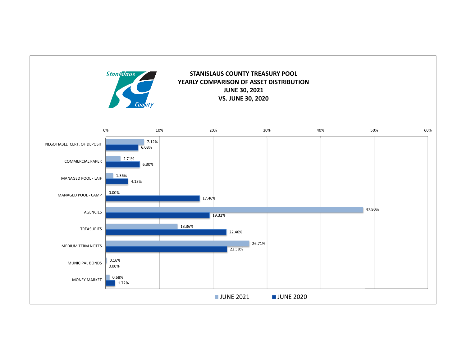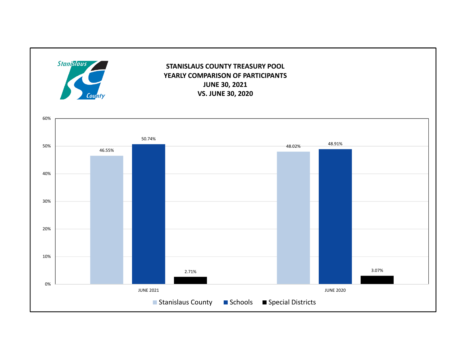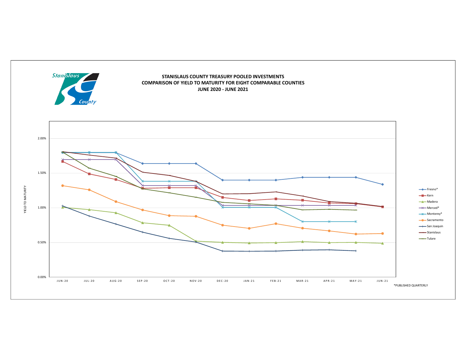

#### **STANISLAUS COUNTY TREASURY POOLED INVESTMENTS COMPARISON OF YIELD TO MATURITY FOR EIGHT COMPARABLE COUNTIES JUNE 2020 ‐ JUNE 2021**

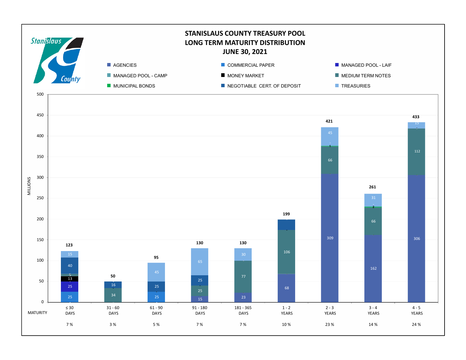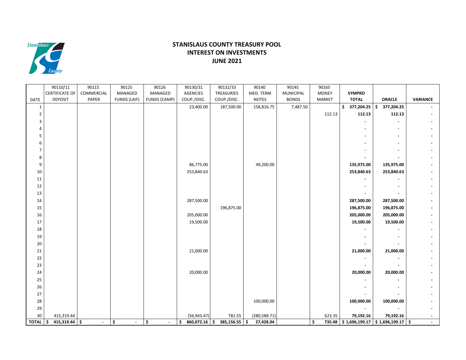

#### **STANISLAUS COUNTY TREASURY POOL INTEREST ON INVESTMENTS JUNE 2021**

|                | 90110/11              | 90115          | 90125                | 90126        | 90130/31              | 90132/33        | 90140         | 90145            | 90165        |                  |                                         |                 |
|----------------|-----------------------|----------------|----------------------|--------------|-----------------------|-----------------|---------------|------------------|--------------|------------------|-----------------------------------------|-----------------|
|                | <b>CERTIFICATE OF</b> | COMMERCIAL     | MANAGED              | MANAGED      | <b>AGENCIES</b>       | TREASURIES      | MED. TERM     | <b>MUNICIPAL</b> | <b>MONEY</b> | <b>SYMPRO</b>    |                                         |                 |
| DATE           | <b>DEPOSIT</b>        | PAPER          | FUNDS (LAIF)         | FUNDS (CAMP) | COUP./DISC.           | COUP./DISC.     | <b>NOTES</b>  | <b>BONDS</b>     | MARKET       | <b>TOTAL</b>     | <b>ORACLE</b>                           | <b>VARIANCE</b> |
| $\mathbf 1$    |                       |                |                      |              | 23,400.00             | 187,500.00      | 158,816.75    | 7,487.50         |              | \$<br>377,204.25 | 377,204.25<br>\$                        |                 |
| $\overline{2}$ |                       |                |                      |              |                       |                 |               |                  | 112.13       | 112.13           | 112.13                                  |                 |
| 3              |                       |                |                      |              |                       |                 |               |                  |              |                  |                                         |                 |
| 4              |                       |                |                      |              |                       |                 |               |                  |              |                  |                                         |                 |
| 5              |                       |                |                      |              |                       |                 |               |                  |              | $\blacksquare$   | $\blacksquare$                          |                 |
| 6              |                       |                |                      |              |                       |                 |               |                  |              |                  |                                         |                 |
| $\overline{7}$ |                       |                |                      |              |                       |                 |               |                  |              |                  |                                         |                 |
| 8              |                       |                |                      |              |                       |                 |               |                  |              |                  |                                         |                 |
| 9              |                       |                |                      |              | 86,775.00             |                 | 49,200.00     |                  |              | 135,975.00       | 135,975.00                              |                 |
| 10             |                       |                |                      |              | 253,840.63            |                 |               |                  |              | 253,840.63       | 253,840.63                              |                 |
| 11             |                       |                |                      |              |                       |                 |               |                  |              |                  |                                         |                 |
| 12             |                       |                |                      |              |                       |                 |               |                  |              |                  |                                         |                 |
| 13             |                       |                |                      |              |                       |                 |               |                  |              | ÷.               |                                         |                 |
| 14             |                       |                |                      |              | 287,500.00            |                 |               |                  |              | 287,500.00       | 287,500.00                              |                 |
| 15             |                       |                |                      |              |                       | 196,875.00      |               |                  |              | 196,875.00       | 196,875.00                              |                 |
|                |                       |                |                      |              |                       |                 |               |                  |              |                  |                                         |                 |
| 16             |                       |                |                      |              | 205,000.00            |                 |               |                  |              | 205,000.00       | 205,000.00                              |                 |
| 17             |                       |                |                      |              | 19,500.00             |                 |               |                  |              | 19,500.00        | 19,500.00                               |                 |
| 18             |                       |                |                      |              |                       |                 |               |                  |              |                  |                                         |                 |
| 19             |                       |                |                      |              |                       |                 |               |                  |              |                  |                                         |                 |
| 20             |                       |                |                      |              |                       |                 |               |                  |              |                  |                                         |                 |
| 21             |                       |                |                      |              | 21,000.00             |                 |               |                  |              | 21,000.00        | 21,000.00                               |                 |
| 22             |                       |                |                      |              |                       |                 |               |                  |              | $\overline{a}$   |                                         |                 |
| 23             |                       |                |                      |              |                       |                 |               |                  |              |                  |                                         |                 |
| 24             |                       |                |                      |              | 20,000.00             |                 |               |                  |              | 20,000.00        | 20,000.00                               |                 |
| 25             |                       |                |                      |              |                       |                 |               |                  |              |                  |                                         |                 |
| 26             |                       |                |                      |              |                       |                 |               |                  |              |                  |                                         |                 |
| 27             |                       |                |                      |              |                       |                 |               |                  |              |                  |                                         |                 |
| 28             |                       |                |                      |              |                       |                 | 100,000.00    |                  |              | 100,000.00       | 100,000.00                              |                 |
| 29             |                       |                |                      |              |                       |                 |               |                  |              | $\blacksquare$   | $\blacksquare$                          |                 |
| 30             | 415,319.44            |                |                      |              | (56, 943.47)          | 781.55          | (280, 588.71) |                  | 623.35       | 79,192.16        | 79,192.16                               |                 |
| TOTAL S        | $415,319.44$ \$       | $\blacksquare$ | \$<br>$\blacksquare$ | \$<br>$\sim$ | \$<br>$860,072.16$ \$ | $385,156.55$ \$ | 27,428.04     |                  | \$           |                  | 735.48 \$1,696,199.17 \$1,696,199.17 \$ |                 |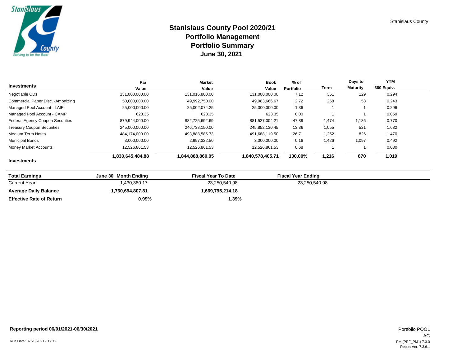

# **Stanislaus County Pool 2020/21 Portfolio Management June 30, 2021 Portfolio Summary**

| Investments                             | Par                     | <b>Market</b>           | <b>Book</b>      | $%$ of            | Term  | Days to<br><b>Maturity</b> | <b>YTM</b><br>360 Equiv. |
|-----------------------------------------|-------------------------|-------------------------|------------------|-------------------|-------|----------------------------|--------------------------|
|                                         | Value<br>131.000.000.00 | Value<br>131.016.800.00 | Value            | Portfolio<br>7.12 | 351   | 129                        |                          |
| Negotiable CDs                          |                         |                         | 131.000.000.00   |                   |       |                            | 0.294                    |
| Commercial Paper Disc. - Amortizing     | 50,000,000.00           | 49.992.750.00           | 49.983.666.67    | 2.72              | 258   | 53                         | 0.243                    |
| Managed Pool Account - LAIF             | 25.000.000.00           | 25,002,074.25           | 25.000.000.00    | 1.36              |       |                            | 0.296                    |
| Managed Pool Account - CAMP             | 623.35                  | 623.35                  | 623.35           | 0.00              |       |                            | 0.059                    |
| <b>Federal Agency Coupon Securities</b> | 879.944.000.00          | 882,725,692.69          | 881.527.004.21   | 47.89             | 1,474 | 1,186                      | 0.770                    |
| <b>Treasury Coupon Securities</b>       | 245,000,000.00          | 246,738,150.00          | 245,852,130.45   | 13.36             | 1,055 | 521                        | 1.682                    |
| Medium Term Notes                       | 484.174.000.00          | 493,888,585.73          | 491.688.119.50   | 26.71             | 1,252 | 826                        | 1.470                    |
| <b>Municipal Bonds</b>                  | 3,000,000.00            | 2,997,322.50            | 3,000,000.00     | 0.16              | 1,426 | 1,097                      | 0.492                    |
| Money Market Accounts                   | 12,526,861.53           | 12,526,861.53           | 12,526,861.53    | 0.68              |       |                            | 0.030                    |
|                                         | 1,830,645,484.88        | 1,844,888,860.05        | 1,840,578,405.71 | 100.00%           | 1,216 | 870                        | 1.019                    |
| <b>Investments</b>                      |                         |                         |                  |                   |       |                            |                          |

| <b>Total Earnings</b>           | June 30 Month Ending | <b>Fiscal Year To Date</b> | <b>Fiscal Year Ending</b> |  |
|---------------------------------|----------------------|----------------------------|---------------------------|--|
| <b>Current Year</b>             | 1,430,380.17         | 23,250,540.98              | 23,250,540.98             |  |
| <b>Average Daily Balance</b>    | 1.760.694.807.81     | 1.669.795.214.18           |                           |  |
| <b>Effective Rate of Return</b> | 0.99%                | $1.39\%$                   |                           |  |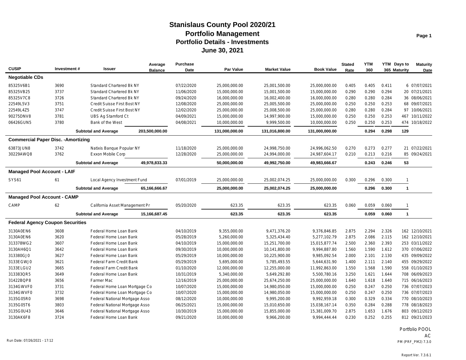| <b>CUSIP</b>                               | Investment# | <b>Issuer</b>                   | Average<br><b>Balance</b> | <b>Purchase</b><br>Date | Par Value      | <b>Market Value</b> | <b>Book Value</b> | <b>Stated</b><br>Rate | <b>YTM</b><br>360 |       | YTM Days to<br>365 Maturity | <b>Maturity</b><br>Date |
|--------------------------------------------|-------------|---------------------------------|---------------------------|-------------------------|----------------|---------------------|-------------------|-----------------------|-------------------|-------|-----------------------------|-------------------------|
| <b>Negotiable CDs</b>                      |             |                                 |                           |                         |                |                     |                   |                       |                   |       |                             |                         |
| 85325V6B1                                  | 3690        | <b>Standard Chartered Bk NY</b> |                           | 07/22/2020              | 25,000,000.00  | 25,001,500.00       | 25,000,000.00     | 0.405                 | 0.405             | 0.411 |                             | 6 07/07/2021            |
| 85325VB25                                  | 3737        | <b>Standard Chartered Bk NY</b> |                           | 11/06/2020              | 15,000,000.00  | 15,001,500.00       | 15,000,000.00     | 0.290                 | 0.290             | 0.294 |                             | 20 07/21/2021           |
| 85325V7C8                                  | 3726        | <b>Standard Chartered Bk NY</b> |                           | 09/24/2020              | 16,000,000.00  | 16,002,400.00       | 16,000,000.00     | 0.280                 | 0.280             | 0.284 |                             | 36 08/06/2021           |
| 22549L5V3                                  | 3751        | Credit Suisse First Bost NY     |                           | 12/08/2020              | 25,000,000.00  | 25,005,500.00       | 25,000,000.00     | 0.250                 | 0.250             | 0.253 |                             | 68 09/07/2021           |
| 22549L4Z5                                  | 3747        | Credit Suisse First Bost NY     |                           | 12/02/2020              | 25,000,000.00  | 25,008,500.00       | 25,000,000.00     | 0.280                 | 0.280             | 0.284 |                             | 97 10/06/2021           |
| 90275DNV8                                  | 3781        | <b>UBS Ag Stamford Ct</b>       |                           | 04/09/2021              | 15,000,000.00  | 14,997,900.00       | 15,000,000.00     | 0.250                 | 0.250             | 0.253 | 467                         | 10/11/2022              |
| 06426GUN5                                  | 3780        | Bank of the West                |                           | 04/08/2021              | 10,000,000.00  | 9,999,500.00        | 10,000,000.00     | 0.250                 | 0.250             | 0.253 |                             | 474 10/18/2022          |
|                                            |             | <b>Subtotal and Average</b>     | 203,500,000.00            |                         | 131,000,000.00 | 131,016,800.00      | 131,000,000.00    |                       | 0.294             | 0.298 | 129                         |                         |
| <b>Commercial Paper Disc. - Amortizing</b> |             |                                 |                           |                         |                |                     |                   |                       |                   |       |                             |                         |
| 63873JUN8                                  | 3742        | Natixis Banque Popular NY       |                           | 11/18/2020              | 25,000,000.00  | 24,998,750.00       | 24,996,062.50     | 0.270                 | 0.273             | 0.277 |                             | 21 07/22/2021           |
| 30229AWQ8                                  | 3762        | Exxon Mobile Corp               |                           | 12/28/2020              | 25,000,000.00  | 24,994,000.00       | 24,987,604.17     | 0.210                 | 0.213             | 0.216 |                             | 85 09/24/2021           |
|                                            |             | <b>Subtotal and Average</b>     | 49,978,833.33             |                         | 50,000,000.00  | 49,992,750.00       | 49,983,666.67     |                       | 0.243             | 0.246 | 53                          |                         |
| <b>Managed Pool Account - LAIF</b>         |             |                                 |                           |                         |                |                     |                   |                       |                   |       |                             |                         |
| <b>SYS61</b>                               | 61          | Local Agency Investment Fund    |                           | 07/01/2019              | 25,000,000.00  | 25,002,074.25       | 25,000,000.00     | 0.300                 | 0.296             | 0.300 | $\mathbf{1}$                |                         |
|                                            |             | <b>Subtotal and Average</b>     | 65,166,666.67             |                         | 25,000,000.00  | 25,002,074.25       | 25,000,000.00     |                       | 0.296             | 0.300 | $\mathbf{1}$                |                         |
| <b>Managed Pool Account - CAMP</b>         |             |                                 |                           |                         |                |                     |                   |                       |                   |       |                             |                         |
| CAMP                                       | 62          | California Asset Management Pr  |                           | 05/20/2020              | 623.35         | 623.35              | 623.35            | 0.060                 | 0.059             | 0.060 | -1                          |                         |
|                                            |             | <b>Subtotal and Average</b>     | 15,166,687.45             |                         | 623.35         | 623.35              | 623.35            |                       | 0.059             | 0.060 | $\mathbf{1}$                |                         |
| <b>Federal Agency Coupon Securities</b>    |             |                                 |                           |                         |                |                     |                   |                       |                   |       |                             |                         |
| 3130A0EN6                                  | 3608        | Federal Home Loan Bank          |                           | 04/10/2019              | 9,355,000.00   | 9,471,376.20        | 9,376,846.85      | 2.875                 | 2.294             | 2.326 |                             | 162 12/10/2021          |
| 3130A0EN6                                  | 3620        | Federal Home Loan Bank          |                           | 05/28/2019              | 5,260,000.00   | 5,325,434.40        | 5,277,102.79      | 2.875                 | 2.086             | 2.115 |                             | 162 12/10/2021          |
| 313378WG2                                  | 3607        | Federal Home Loan Bank          |                           | 04/10/2019              | 15,000,000.00  | 15,251,700.00       | 15,015,877.74     | 2.500                 | 2.360             | 2.393 |                             | 253 03/11/2022          |
| 3130AH6Q1                                  | 3642        | Federal Home Loan Bank          |                           | 09/30/2019              | 10,000,000.00  | 10,141,800.00       | 9,994,887.80      | 1.560                 | 1.590             | 1.612 |                             | 370 07/06/2022          |
| 313380GJ0                                  | 3627        | Federal Home Loan Bank          |                           | 05/29/2019              | 10,000,000.00  | 10,225,900.00       | 9,985,092.54      | 2.000                 | 2.101             | 2.130 |                             | 435 09/09/2022          |
| 3133EGWJ0                                  | 3621        | Federal Farm Credit Bank        |                           | 05/29/2019              | 5,695,000.00   | 5,785,493.55        | 5,644,631.90      | 1.400                 | 2.111             | 2.140 |                             | 455 09/29/2022          |
| 3133ELGU2                                  | 3665        | Federal Farm Credit Bank        |                           | 01/10/2020              | 12,000,000.00  | 12,255,000.00       | 11,992,863.00     | 1.550                 | 1.568             | 1.590 |                             | 558 01/10/2023          |
| 313383QR5                                  | 3649        | Federal Home Loan Bank          |                           | 10/31/2019              | 5,340,000.00   | 5,649,292.80        | 5,500,780.16      | 3.250                 | 1.621             | 1.644 |                             | 708 06/09/2023          |
| 31422BQP8                                  | 3656        | Farmer Mac                      |                           | 12/16/2019              | 25,000,000.00  | 25,674,250.00       | 25,000,000.00     | 1.640                 | 1.618             | 1.640 |                             | 715 06/16/2023          |
| 3134GWVF0                                  | 3731        | Federal Home Loan Mortgage Co   |                           | 10/07/2020              | 15,000,000.00  | 14,980,050.00       | 15,000,000.00     | 0.250                 | 0.247             | 0.250 |                             | 736 07/07/2023          |
| 3134GWVF0                                  | 3732        | Federal Home Loan Mortgage Co   |                           | 10/07/2020              | 15,000,000.00  | 14,980,050.00       | 15,000,000.00     | 0.250                 | 0.247             | 0.250 |                             | 736 07/07/2023          |
| 3135G05R0                                  | 3698        | Federal National Mortgage Asso  |                           | 08/12/2020              | 10,000,000.00  | 9,995,200.00        | 9,992,959.18      | 0.300                 | 0.329             | 0.334 |                             | 770 08/10/2023          |
| 3135G05T6                                  | 3803        | Federal National Mortgage Asso  |                           | 06/25/2021              | 15,000,000.00  | 15,010,650.00       | 15,038,167.14     | 0.350                 | 0.284             | 0.288 |                             | 778 08/18/2023          |
| 3135G0U43                                  | 3646        | Federal National Mortgage Asso  |                           | 10/30/2019              | 15,000,000.00  | 15,855,000.00       | 15,381,009.70     | 2.875                 | 1.653             | 1.676 |                             | 803 09/12/2023          |
| 3130AK6F8                                  | 3724        | Federal Home Loan Bank          |                           | 09/21/2020              | 10,000,000.00  | 9,966,200.00        | 9,994,444.44      | 0.230                 | 0.252             | 0.255 |                             | 812 09/21/2023          |

Portfolio POOL

AC<br>PM (PRF\_PM2) 7.3.0 Run Date: 07/26/2021 - 17:12 PM (PRF\_PM2) 7.3.0

**Page 1**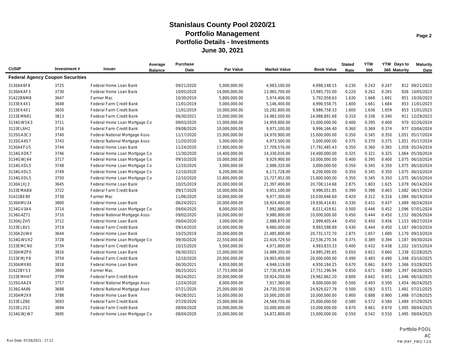|                                         |             |                                 | Average        | <b>Purchase</b> |               |                     |                   | <b>Stated</b> | <b>YTM</b> |       | YTM Days to  | <b>Maturity</b>  |
|-----------------------------------------|-------------|---------------------------------|----------------|-----------------|---------------|---------------------|-------------------|---------------|------------|-------|--------------|------------------|
| <b>CUSIP</b>                            | Investment# | Issuer                          | <b>Balance</b> | Date            | Par Value     | <b>Market Value</b> | <b>Book Value</b> | Rate          | 360        |       | 365 Maturity | Date             |
| <b>Federal Agency Coupon Securities</b> |             |                                 |                |                 |               |                     |                   |               |            |       |              |                  |
| 3130AK6F8                               | 3725        | Federal Home Loan Bank          |                | 09/21/2020      | 5,000,000.00  | 4,983,100.00        | 4,998,148.15      | 0.230         | 0.243      | 0.247 |              | 812 09/21/2023   |
| 3130AKAF3                               | 3730        | Federal Home Loan Bank          |                | 10/05/2020      | 14,000,000.00 | 13,965,700.00       | 13,985,755.00     | 0.220         | 0.262      | 0.265 |              | 826 10/05/2023   |
| 31422BNM8                               | 3647        | <b>Farmer Mac</b>               |                | 10/30/2019      | 5,800,000.00  | 5,974,406.00        | 5,792,058.63      | 1.630         | 1.668      | 1.691 |              | 851 10/30/2023   |
| 3133EK4X1                               | 3648        | Federal Farm Credit Bank        |                | 11/01/2019      | 5,000,000.00  | 5,146,400.00        | 4,990,558.75      | 1.600         | 1.661      | 1.684 |              | 853 11/01/2023   |
| 3133EK4X1                               | 3650        | <b>Federal Farm Credit Bank</b> |                | 11/01/2019      | 10,000,000.00 | 10,292,800.00       | 9,986,758.33      | 1.600         | 1.636      | 1.659 |              | 853 11/01/2023   |
| 3133EMN81                               | 3813        | <b>Federal Farm Credit Bank</b> |                | 06/30/2021      | 15,000,000.00 | 14,983,500.00       | 14,988,891.68     | 0.310         | 0.336      | 0.340 |              | 911 12/29/2023   |
| 3134GWSK3                               | 3711        | Federal Home Loan Mortgage Co   |                | 09/03/2020      | 15,000,000.00 | 14,959,800.00       | 15,000,000.00     | 0.400         | 0.395      | 0.400 |              | 970 02/26/2024   |
| 3133EL6H2                               | 3716        | Federal Farm Credit Bank        |                | 09/08/2020      | 10,000,000.00 | 9,971,100.00        | 9,996,166.40      | 0.360         | 0.369      | 0.374 |              | 977 03/04/2024   |
| 3135GA3C3                               | 3740        | Federal National Mortgage Asso  |                | 11/17/2020      | 15,000,000.00 | 14,970,900.00       | 15,000,000.00     | 0.350         | 0.345      | 0.350 |              | 1,051 05/17/2024 |
| 3135GA4S7                               | 3743        | Federal National Mortgage Asso  |                | 11/20/2020      | 5,000,000.00  | 4,973,500.00        | 5,000,000.00      | 0.375         | 0.370      | 0.375 |              | 1,051 05/17/2024 |
| 3130AKFU5                               | 3744        | Federal Home Loan Bank          |                | 11/24/2020      | 17,800,000.00 | 17,709,576.00       | 17,792,485.43     | 0.350         | 0.360      | 0.365 |              | 1,058 05/24/2024 |
| 3134GXDK7                               | 3746        | Federal Home Loan Mortgage Co   |                | 11/30/2020      | 14,400,000.00 | 14,330,016.00       | 14,400,000.00     | 0.325         | 0.321      | 0.325 |              | 1,064 05/30/2024 |
| 3134GWJ64                               | 3717        | Federal Home Loan Mortgage Co   |                | 09/10/2020      | 10,000,000.00 | 9,929,900.00        | 10,000,000.00     | 0.400         | 0.395      | 0.400 |              | 1,075 06/10/2024 |
| 3134GXDL5                               | 3748        | Federal Home Loan Mortgage Co   |                | 12/10/2020      | 3,000,000.00  | 2,986,320.00        | 3,000,000.00      | 0.350         | 0.345      | 0.350 |              | 1,075 06/10/2024 |
| 3134GXDL5                               | 3749        | Federal Home Loan Mortgage Co   |                | 12/10/2020      | 6,200,000.00  | 6,171,728.00        | 6,200,000.00      | 0.350         | 0.345      | 0.350 |              | 1,075 06/10/2024 |
| 3134GXDL5                               | 3750        | Federal Home Loan Mortgage Co   |                | 12/10/2020      | 15,800,000.00 | 15,727,952.00       | 15,800,000.00     | 0.350         | 0.345      | 0.350 |              | 1,075 06/10/2024 |
| 3130A1XJ2                               | 3645        | Federal Home Loan Bank          |                | 10/25/2019      | 20,000,000.00 | 21,397,400.00       | 20,708,114.68     | 2.875         | 1.603      | 1.625 |              | 1,079 06/14/2024 |
| 3133EMAB8                               | 3722        | Federal Farm Credit Bank        |                | 09/17/2020      | 10,000,000.00 | 9,951,100.00        | 9,996,051.85      | 0.390         | 0.398      | 0.403 |              | 1,082 06/17/2024 |
| 31422BE89                               | 3738        | Farmer Mac                      |                | 11/06/2020      | 10,000,000.00 | 9,977,300.00        | 10,030,646.60     | 0.420         | 0.312      | 0.316 |              | 1.084 06/19/2024 |
| 3130AMU34                               | 3800        | Federal Home Loan Bank          |                | 06/24/2021      | 20,000,000.00 | 19,924,400.00       | 19,936,414.81     | 0.330         | 0.431      | 0.437 |              | 1.089 06/24/2024 |
| 3134GV3A4                               | 3714        | Federal Home Loan Mortgage Co   |                | 09/04/2020      | 8,000,000.00  | 7,992,880.00        | 8,011,419.61      | 0.500         | 0.446      | 0.452 |              | 1,096 07/01/2024 |
| 3136G4Z71                               | 3710        | Federal National Mortgage Asso  |                | 09/02/2020      | 10,000,000.00 | 9,980,900.00        | 10,000,000.00     | 0.450         | 0.444      | 0.450 |              | 1,152 08/26/2024 |
| 3130AJZH5                               | 3712        | Federal Home Loan Bank          |                | 09/04/2020      | 3,000,000.00  | 2,988,870.00        | 2,999,405.44      | 0.450         | 0.450      | 0.456 |              | 1.153 08/27/2024 |
| 3133EL6V1                               | 3719        | <b>Federal Farm Credit Bank</b> |                | 09/14/2020      | 10,000,000.00 | 9,960,000.00        | 9,993,598.89      | 0.430         | 0.444      | 0.450 |              | 1.167 09/10/2024 |
| 3130A2UW4                               | 3644        | Federal Home Loan Bank          |                | 10/25/2019      | 20,000,000.00 | 21,485,800.00       | 20,731,172.70     | 2.875         | 1.657      | 1.680 |              | 1,170 09/13/2024 |
| 3134GWUX2                               | 3728        | Federal Home Loan Mortgage Co   |                | 09/30/2020      | 22,550,000.00 | 22,416,729.50       | 22,536,270.34     | 0.375         | 0.389      | 0.394 |              | 1,187 09/30/2024 |
| 3133EMCN0                               | 3734        | Federal Farm Credit Bank        |                | 10/15/2020      | 5,000,000.00  | 4,971,800.00        | 4,993,833.33      | 0.400         | 0.432      | 0.438 |              | 1,202 10/15/2024 |
| 3130AMZP0                               | 3816        | Federal Home Loan Bank          |                | 06/30/2021      | 15,000,000.00 | 14,989,350.00       | 14,995,295.65     | 0.650         | 0.651      | 0.660 |              | 1,338 02/28/2025 |
| 3133EMJP8                               | 3754        | <b>Federal Farm Credit Bank</b> |                | 12/10/2020      | 20,000,000.00 | 19,903,400.00       | 20,000,000.00     | 0.490         | 0.483      | 0.490 |              | 1.348 03/10/2025 |
| 3130AMX80                               | 3818        | Federal Home Loan Bank          |                | 06/30/2021      | 4,950,000.00  | 4,948,119.00        | 4,950,184.25      | 0.670         | 0.661      | 0.670 |              | 1,366 03/28/2025 |
| 31422BYS3                               | 3804        | Farmer Mac.                     |                | 06/25/2021      | 17,753,000.00 | 17,730,453.69       | 17,751,296.94     | 0.650         | 0.671      | 0.680 |              | 1,397 04/28/2025 |
| 3133EMH47                               | 3799        | Federal Farm Credit Bank        |                | 06/24/2021      | 20,000,000.00 | 19,924,200.00       | 19,962,862.20     | 0.600         | 0.642      | 0.651 |              | 1,446 06/16/2025 |
| 3135GAAZ4                               | 3757        | Federal National Mortgage Asso  |                | 12/24/2020      | 8,000,000.00  | 7,917,360.00        | 8,000,000.00      | 0.500         | 0.493      | 0.500 |              | 1,454 06/24/2025 |
| 3136G4A86                               | 3688        | Federal National Mortgage Asso  |                | 07/21/2020      | 25,000,000.00 | 24,730,250.00       | 24,929,027.78     | 0.500         | 0.563      | 0.571 |              | 1,481 07/21/2025 |
| 3130AM2X9                               | 3788        | Federal Home Loan Bank          |                | 04/28/2021      | 10,000,000.00 | 10,000,200.00       | 10,000,000.00     | 0.900         | 0.888      | 0.900 |              | 1,488 07/28/2025 |
| 3133ELZ80                               | 3693        | Federal Farm Credit Bank        |                | 07/29/2020      | 25,000,000.00 | 24,569,750.00       | 25,000,000.00     | 0.580         | 0.572      | 0.580 |              | 1,489 07/29/2025 |
| 3133EL2S2                               | 3694        | Federal Farm Credit Bank        |                | 08/04/2020      | 10,000,000.00 | 10,000,600.00       | 10,000,000.00     | 0.670         | 0.661      | 0.670 |              | 1,495 08/04/2025 |
| 3134GWJW7                               | 3695        | Federal Home Loan Mortgage Co   |                | 08/04/2020      | 15,000,000.00 | 14,872,800.00       | 15,000,000.00     | 0.550         | 0.542      | 0.550 |              | 1,495 08/04/2025 |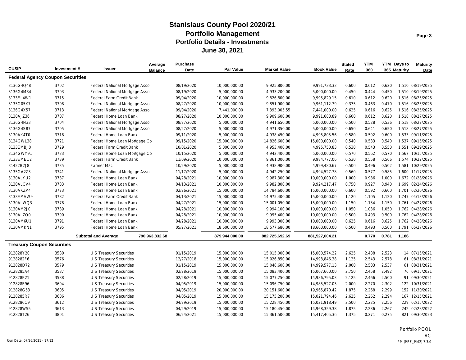|                                         |             |                                 | Average        | <b>Purchase</b> |                  |                     |                   | <b>Stated</b> | <b>YTM</b> |       | YTM Days to  | <b>Maturity</b>  |
|-----------------------------------------|-------------|---------------------------------|----------------|-----------------|------------------|---------------------|-------------------|---------------|------------|-------|--------------|------------------|
| <b>CUSIP</b>                            | Investment# | <b>Issuer</b>                   | <b>Balance</b> | Date            | <b>Par Value</b> | <b>Market Value</b> | <b>Book Value</b> | Rate          | 360        |       | 365 Maturity | Date             |
| <b>Federal Agency Coupon Securities</b> |             |                                 |                |                 |                  |                     |                   |               |            |       |              |                  |
| 3136G4Q48                               | 3702        | Federal National Mortgage Asso  |                | 08/19/2020      | 10,000,000.00    | 9,925,800.00        | 9,991,733.33      | 0.600         | 0.612      | 0.620 |              | 1,510 08/19/2025 |
| 3136G4M34                               | 3703        | Federal National Mortgage Asso  |                | 08/19/2020      | 5,000,000.00     | 4,933,200.00        | 5,000,000.00      | 0.450         | 0.444      | 0.450 |              | 1,510 08/19/2025 |
| 3133EL4W1                               | 3715        | <b>Federal Farm Credit Bank</b> |                | 09/04/2020      | 10,000,000.00    | 9,826,800.00        | 9,995,829.15      | 0.610         | 0.612      | 0.620 |              | 1,516 08/25/2025 |
| 3135G05X7                               | 3708        | Federal National Mortgage Asso  |                | 08/27/2020      | 10,000,000.00    | 9,851,900.00        | 9,961,112.79      | 0.375         | 0.463      | 0.470 |              | 1,516 08/25/2025 |
| 3136G4X57                               | 3713        | Federal National Mortgage Asso  |                | 09/04/2020      | 7,441,000.00     | 7,393,005.55        | 7,441,000.00      | 0.625         | 0.616      | 0.625 |              | 1,516 08/25/2025 |
| 3130AJZ36                               | 3707        | Federal Home Loan Bank          |                | 08/27/2020      | 10,000,000.00    | 9,909,600.00        | 9,991,688.89      | 0.600         | 0.612      | 0.620 |              | 1,518 08/27/2025 |
| 3136G4N33                               | 3704        | Federal National Mortgage Asso  |                | 08/27/2020      | 5,000,000.00     | 4,941,650.00        | 5,000,000.00      | 0.500         | 0.528      | 0.536 |              | 1.518 08/27/2025 |
| 3136G4S87                               | 3705        | Federal National Mortgage Asso  |                | 08/27/2020      | 5,000,000.00     | 4,971,350.00        | 5,000,000.00      | 0.650         | 0.641      | 0.650 |              | 1,518 08/27/2025 |
| 3130AK4T0                               | 3718        | Federal Home Loan Bank          |                | 09/11/2020      | 5,000,000.00     | 4,938,450.00        | 4,995,805.56      | 0.580         | 0.592      | 0.600 |              | 1,533 09/11/2025 |
| 3134GWL38                               | 3721        | Federal Home Loan Mortgage Co   |                | 09/15/2020      | 15,000,000.00    | 14,826,600.00       | 15,000,000.00     | 0.540         | 0.533      | 0.540 |              | 1,537 09/15/2025 |
| 3133EMBJ0                               | 3729        | Federal Farm Credit Bank        |                | 10/01/2020      | 5,000,000.00     | 4,953,400.00        | 4,995,750.83      | 0.530         | 0.543      | 0.550 |              | 1,551 09/29/2025 |
| 3134GWY91                               | 3733        | Federal Home Loan Mortgage Co   |                | 10/15/2020      | 5,000,000.00     | 4,942,400.00        | 5,000,000.00      | 0.570         | 0.562      | 0.570 |              | 1,567 10/15/2025 |
| 3133EMEC2                               | 3739        | Federal Farm Credit Bank        |                | 11/09/2020      | 10,000,000.00    | 9,861,000.00        | 9,984,777.06      | 0.530         | 0.558      | 0.566 |              | 1,574 10/22/2025 |
| 31422B2J8                               | 3735        | <b>Farmer Mac</b>               |                | 10/29/2020      | 5,000,000.00     | 4,938,900.00        | 4,999,480.67      | 0.500         | 0.496      | 0.502 |              | 1,581 10/29/2025 |
| 3135GA2Z3                               | 3741        | Federal National Mortgage Asso  |                | 11/17/2020      | 5,000,000.00     | 4,942,250.00        | 4,994,527.78      | 0.560         | 0.577      | 0.585 |              | 1,600 11/17/2025 |
| 3130ALYU2                               | 3787        | Federal Home Loan Bank          |                | 04/28/2021      | 10,000,000.00    | 9,987,300.00        | 10,000,000.00     | 1.000         | 0.986      | 1.000 |              | 1,672 01/28/2026 |
| 3130ALCV4                               | 3783        | Federal Home Loan Bank          |                | 04/13/2021      | 10,000,000.00    | 9,982,800.00        | 9,924,217.47      | 0.750         | 0.927      | 0.940 |              | 1,699 02/24/2026 |
| 3130AKZP4                               | 3773        | Federal Home Loan Bank          |                | 02/26/2021      | 15,000,000.00    | 14,784,600.00       | 15,000,000.00     | 0.600         | 0.592      | 0.600 |              | 1,701 02/26/2026 |
| 3133EMVW9                               | 3782        | Federal Farm Credit Bank        |                | 04/13/2021      | 15,000,000.00    | 14,975,400.00       | 15,000,000.00     | 1.120         | 1.105      | 1.120 |              | 1,747 04/13/2026 |
| 3130ALWQ3                               | 3778        | Federal Home Loan Bank          |                | 04/27/2021      | 15,000,000.00    | 15,001,050.00       | 15,000,000.00     | 1.150         | 1.134      | 1.150 |              | 1,761 04/27/2026 |
| 3130AM2J0                               | 3789        | Federal Home Loan Bank          |                | 04/28/2021      | 10,000,000.00    | 9,994,100.00        | 10,000,000.00     | 1.050         | 1.036      | 1.050 |              | 1,762 04/28/2026 |
| 3130ALZQ0                               | 3790        | Federal Home Loan Bank          |                | 04/28/2021      | 10,000,000.00    | 9,995,400.00        | 10,000,000.00     | 0.500         | 0.493      | 0.500 |              | 1,762 04/28/2026 |
| 3130AM6U1                               | 3791        | Federal Home Loan Bank          |                | 04/28/2021      | 10,000,000.00    | 9,993,300.00        | 10,000,000.00     | 0.625         | 0.616      | 0.625 |              | 1,762 04/28/2026 |
| 3130AMKN1                               | 3795        | Federal Home Loan Bank          |                | 05/27/2021      | 18,600,000.00    | 18,577,680.00       | 18,600,000.00     | 0.500         | 0.493      | 0.500 |              | 1,791 05/27/2026 |
|                                         |             | <b>Subtotal and Average</b>     | 790,963,832.68 |                 | 879,944,000.00   | 882,725,692.69      | 881,527,004.21    |               | 0.770      | 0.781 | 1,186        |                  |
| <b>Treasury Coupon Securities</b>       |             |                                 |                |                 |                  |                     |                   |               |            |       |              |                  |
| 912828Y20                               | 3580        | U S Treasury Securities         |                | 01/15/2019      | 15,000,000.00    | 15,015,000.00       | 15,000,574.22     | 2.625         | 2.488      | 2.523 |              | 14 07/15/2021    |
| 9128282F6                               | 3576        | U S Treasury Securities         |                | 12/27/2018      | 15,000,000.00    | 15,026,850.00       | 14,998,846.38     | 1.125         | 2.543      | 2.578 |              | 61 08/31/2021    |
| 912828D72                               | 3579        | U S Treasury Securities         |                | 01/15/2019      | 15,000,000.00    | 15,048,600.00       | 14,999,577.13     | 2.000         | 2.503      | 2.537 |              | 61 08/31/2021    |
| 9128285A4                               | 3587        | U S Treasury Securities         |                | 02/28/2019      | 15,000,000.00    | 15,083,400.00       | 15,007,660.00     | 2.750         | 2.458      | 2.492 |              | 76 09/15/2021    |
| 912828F21                               | 3588        | U S Treasury Securities         |                | 02/28/2019      | 15,000,000.00    | 15,077,250.00       | 14,986,795.03     | 2.125         | 2.466      | 2.500 |              | 91 09/30/2021    |
| 912828F96                               | 3604        | U S Treasury Securities         |                | 04/05/2019      | 15,000,000.00    | 15,096,750.00       | 14,985,527.03     | 2.000         | 2.270      | 2.302 |              | 122 10/31/2021   |
| 912828G53                               | 3605        | U S Treasury Securities         |                | 04/05/2019      | 20,000,000.00    | 20,151,600.00       | 19,965,870.42     | 1.875         | 2.268      | 2.299 |              | 152 11/30/2021   |
| 9128285R7                               | 3606        | U S Treasury Securities         |                | 04/05/2019      | 15,000,000.00    | 15,175,200.00       | 15,021,794.46     | 2.625         | 2.262      | 2.294 |              | 167 12/15/2021   |
| 9128286C9                               | 3612        | U S Treasury Securities         |                | 04/29/2019      | 15,000,000.00    | 15,228,450.00       | 15,021,918.49     | 2.500         | 2.225      | 2.256 |              | 229 02/15/2022   |
| 912828W55                               | 3613        | U S Treasury Securities         |                | 04/29/2019      | 15,000,000.00    | 15,180,450.00       | 14,968,359.38     | 1.875         | 2.236      | 2.267 |              | 242 02/28/2022   |
| 912828T26                               | 3801        | U S Treasury Securities         |                | 06/24/2021      | 15,000,000.00    | 15,361,500.00       | 15,417,405.36     | 1.375         | 0.271      | 0.275 |              | 821 09/30/2023   |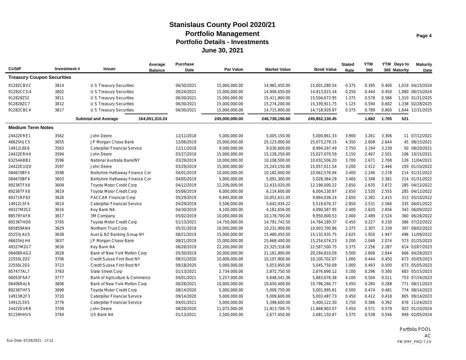| <b>CUSIP</b>                      | Investment# | Issuer                               | Average<br><b>Balance</b> | <b>Purchase</b><br>Date | <b>Par Value</b> | <b>Market Value</b> | <b>Book Value</b> | <b>Stated</b><br>Rate | <b>YTM</b><br>360 |       | YTM Days to<br>365 Maturity | <b>Maturity</b><br>Date |
|-----------------------------------|-------------|--------------------------------------|---------------------------|-------------------------|------------------|---------------------|-------------------|-----------------------|-------------------|-------|-----------------------------|-------------------------|
| <b>Treasury Coupon Securities</b> |             |                                      |                           |                         |                  |                     |                   |                       |                   |       |                             |                         |
| 91282CBV2                         | 3814        | U S Treasury Securities              |                           | 06/30/2021              | 15,000,000.00    | 14,982,450.00       | 15,001,280.54     | 0.375                 | 0.395             | 0.400 |                             | 1,019 04/15/2024        |
| 91282CCG4                         | 3802        | U S Treasury Securities              |                           | 06/24/2021              | 15,000,000.00    | 14,908,650.00       | 14,913,015.34     | 0.250                 | 0.444             | 0.450 |                             | 1.080 06/15/2024        |
| 912828Z52                         | 3811        | <b>U S Treasury Securities</b>       |                           | 06/30/2021              | 15,000,000.00    | 15,411,900.00       | 15,504,673.95     | 1.375                 | 0.578             | 0.586 |                             | 1.310 01/31/2025        |
| 912828ZC7                         | 3812        | U S Treasury Securities              |                           | 06/30/2021              | 15,000,000.00    | 15,274,200.00       | 15,339,911.75     | 1.125                 | 0.594             | 0.602 |                             | 1,338 02/28/2025        |
| 91282CBC4                         | 3817        | U S Treasury Securities              |                           | 06/30/2021              | 15,000,000.00    | 14,715,900.00       | 14,718,920.97     | 0.375                 | 0.789             | 0.800 |                             | 1,644 12/31/2025        |
|                                   |             | <b>Subtotal and Average</b>          | 164,051,310.24            |                         | 245,000,000.00   | 246,738,150.00      | 245,852,130.45    |                       | 1.682             | 1.705 | 521                         |                         |
| <b>Medium Term Notes</b>          |             |                                      |                           |                         |                  |                     |                   |                       |                   |       |                             |                         |
| 24422ERE1                         | 3562        | John Deere                           |                           | 12/11/2018              | 5,000,000.00     | 5,005,150.00        | 5,000,861.33      | 3.900                 | 3.261             | 3.306 |                             | 11 07/12/2021           |
| 46625HJC5                         | 3655        | JP Morgan Chase Bank                 |                           | 12/06/2019              | 25,000,000.00    | 25,123,000.00       | 25,073,279.15     | 4.350                 | 2.608             | 2.644 |                             | 45 08/15/2021           |
| 14912L6E6                         | 3563        | Caterpillar Financial Service        |                           | 12/11/2018              | 9,000,000.00     | 9,030,600.00        | 8,994,297.49      | 2.750                 | 3.194             | 3.239 |                             | 50 08/20/2021           |
| 24422ERH4                         | 3594        | John Deere                           |                           | 03/27/2019              | 15,000,000.00    | 15,128,250.00       | 15,027,070.59     | 3.150                 | 2.467             | 2.501 |                             | 106 10/15/2021          |
| 63254ABB3                         | 3596        | National Australia Bank/NY           |                           | 03/29/2019              | 10,000,000.00    | 10,108,500.00       | 10,032,506.20     | 3.700                 | 2.671             | 2.708 |                             | 126 11/04/2021          |
| 24422EUQ0                         | 3597        | John Deere                           |                           | 03/29/2019              | 15,000,000.00    | 15,243,150.00       | 15,057,011.54     | 3.200                 | 2.412             | 2.446 |                             | 193 01/10/2022          |
| 084670BF4                         | 3598        | Berkshire Hathaway Finance Cor       |                           | 04/01/2019              | 10,000,000.00    | 10,182,600.00       | 10,062,576.94     | 3.400                 | 2.246             | 2.278 |                             | 214 01/31/2022          |
| 084670BF4                         | 3603        | Berkshire Hathaway Finance Cor       |                           | 04/05/2019              | 5,000,000.00     | 5,091,300.00        | 5,028,364.29      | 3.400                 | 2.348             | 2.381 |                             | 214 01/31/2022          |
| 89236TFX8                         | 3609        | <b>Toyota Motor Credit Corp</b>      |                           | 04/12/2019              | 12,200,000.00    | 12,433,020.00       | 12,198,000.22     | 2.650                 | 2.635             | 2.672 |                             | 285 04/12/2022          |
| 89236TFX8                         | 3619        | <b>Toyota Motor Credit Corp</b>      |                           | 05/06/2019              | 6,000,000.00     | 6,114,600.00        | 6,004,230.97      | 2.650                 | 2.520             | 2.555 |                             | 285 04/12/2022          |
| 69371RP83                         | 3626        | <b>PACCAR Financial Corp</b>         |                           | 05/29/2019              | 9,845,000.00     | 10,052,631.05       | 9,864,038.24      | 2.650                 | 2.382             | 2.415 |                             | 313 05/10/2022          |
| 14912L5F4                         | 3614        | <b>Caterpillar Financial Service</b> |                           | 04/29/2019              | 5,506,000.00     | 5,642,934.22        | 5,519,676.37      | 2.850                 | 2.531             | 2.566 |                             | 335 06/01/2022          |
| 49327M2S2                         | 3616        | Key Bank NA                          |                           | 04/30/2019              | 4,100,000.00     | 4,182,656.00        | 4,090,587.95      | 2.400                 | 2.620             | 2.656 |                             | 343 06/09/2022          |
| 88579YAF8                         | 3617        | 3M Company                           |                           | 05/02/2019              | 10,000,000.00    | 10,178,700.00       | 9,950,600.53      | 2.000                 | 2.489             | 2.524 |                             | 360 06/26/2022          |
| 89236THD0                         | 3765        | <b>Toyota Motor Credit Corp</b>      |                           | 01/13/2021              | 14,750,000.00    | 14,791,742.50       | 14,784,189.37     | 0.450                 | 0.227             | 0.230 |                             | 386 07/22/2022          |
| 665859AN4                         | 3629        | Northern Trust Corp                  |                           | 05/31/2019              | 10,000,000.00    | 10,231,900.00       | 10,003,700.96     | 2.375                 | 2.307             | 2.339 |                             | 397 08/02/2022          |
| 05253JAU5                         | 3638        | Aust & NZ Banking Group NY           |                           | 08/21/2019              | 15,000,000.00    | 15,480,450.00       | 15,132,935.75     | 2.625                 | 1.920             | 1.947 |                             | 496 11/09/2022          |
| 46625HJH4                         | 3637        | JP Morgan Chase Bank                 |                           | 08/21/2019              | 15,000,000.00    | 15,668,400.00       | 15,254,074.23     | 3.200                 | 2.046             | 2.074 |                             | 573 01/25/2023          |
| 49327M2U7                         | 3636        | Key Bank NA                          |                           | 06/28/2019              | 22,200,000.00    | 23,325,318.00       | 22,587,500.75     | 3.375                 | 2.256             | 2.287 |                             | 614 03/07/2023          |
| 06406RAG2                         | 3628        | Bank of New York Mellon Corp         |                           | 05/30/2019              | 20,000,000.00    | 21,161,800.00       | 20,294,810.09     | 3.500                 | 2.608             | 2.644 |                             | 666 04/28/2023          |
| 22550L2D2                         | 3706        | Credit Suisse First Bost NY          |                           | 08/31/2020              | 10,000,000.00    | 10,107,900.00       | 10,100,702.07     | 1.000                 | 0.444             | 0.450 |                             | 673 05/05/2023          |
| 22550L2D2                         | 3723        | Credit Suisse First Bost NY          |                           | 09/18/2020              | 5,000,000.00     | 5,053,950.00        | 5,045,750.09      | 1.000                 | 0.493             | 0.500 |                             | 673 05/05/2023          |
| 857477AL7                         | 3763        | <b>State Street Corp</b>             |                           | 01/13/2021              | 2,734,000.00     | 2,872,750.50        | 2,876,690.12      | 3.100                 | 0.296             | 0.300 |                             | 683 05/15/2023          |
| 06053FAA7                         | 3777        | Bank of Agriculture & Commerce       |                           | 04/01/2021              | 5,257,000.00     | 5,648,541.36        | 5,683,676.38      | 4.100                 | 0.504             | 0.511 |                             | 753 07/24/2023          |
| 06406RAJ6                         | 3806        | Bank of New York Mellon Corp         |                           | 06/28/2021              | 10,000,000.00    | 10,650,400.00       | 10,796,266.77     | 3.450                 | 0.284             | 0.288 |                             | 771 08/11/2023          |
| 89236THF5                         | 3699        | <b>Toyota Motor Credit Corp</b>      |                           | 08/14/2020              | 5,000,000.00     | 5,009,750.00        | 5,001,995.81      | 0.500                 | 0.474             | 0.481 |                             | 774 08/14/2023          |
| 14913R2F3                         | 3720        | Caterpillar Financial Service        |                           | 09/14/2020              | 5,000,000.00     | 5,009,600.00        | 5,003,487.73      | 0.450                 | 0.412             | 0.418 |                             | 805 09/14/2023          |
| 14912L5X5                         | 3776        | Caterpillar Financial Service        |                           | 04/01/2021              | 5,000,000.00     | 5,398,600.00        | 5,400,122.30      | 3.750                 | 0.386             | 0.392 |                             | 876 11/24/2023          |
| 24422EUR8                         | 3709        | John Deere                           |                           | 08/28/2020              | 11,075,000.00    | 11,913,709.75       | 11,868,903.07     | 3.450                 | 0.571             | 0.579 |                             | 923 01/10/2024          |
| 91159HHV5                         | 3764        | US Bank NA                           |                           | 01/13/2021              | 2,500,000.00     | 2,677,450.00        | 2,681,150.87      | 3.375                 | 0.538             | 0.546 |                             | 949 02/05/2024          |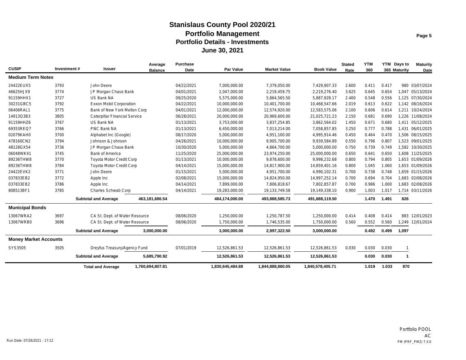| <b>CUSIP</b>                 | Investment # | Issuer                          | Average          | <b>Purchase</b> | Par Value        | <b>Market Value</b> | <b>Book Value</b> | <b>Stated</b> | <b>YTM</b> |       | YTM Days to  | <b>Maturity</b>  |
|------------------------------|--------------|---------------------------------|------------------|-----------------|------------------|---------------------|-------------------|---------------|------------|-------|--------------|------------------|
|                              |              |                                 | <b>Balance</b>   | Date            |                  |                     |                   | Rate          | 360        |       | 365 Maturity | Date             |
| <b>Medium Term Notes</b>     |              |                                 |                  |                 |                  |                     |                   |               |            |       |              |                  |
| 24422EUX5                    | 3793         | John Deere                      |                  | 04/22/2021      | 7.000.000.00     | 7.379.050.00        | 7.429.907.33      | 2.600         | 0.411      | 0.417 |              | 980 03/07/2024   |
| 46625HJX9                    | 3774         | JP Morgan Chase Bank            |                  | 04/01/2021      | 2,047,000.00     | 2,219,459.75        | 2,219,276.40      | 3.625         | 0.645      | 0.654 |              | 1.047 05/13/2024 |
| 91159HHX1                    | 3727         | US Bank NA                      |                  | 09/25/2020      | 5,575,000.00     | 5,864,565.50        | 5.887.928.17      | 2.400         | 0.548      | 0.556 |              | 1.125 07/30/2024 |
| 30231GBC5                    | 3792         | <b>Exxon Mobil Corporation</b>  |                  | 04/22/2021      | 10,000,000.00    | 10,401,700.00       | 10,468,547.66     | 2.019         | 0.613      | 0.622 |              | 1.142 08/16/2024 |
| 06406RAL1                    | 3775         | Bank of New York Mellon Corp    |                  | 04/01/2021      | 12,000,000.00    | 12,574,920.00       | 12,583,575.06     | 2.100         | 0.606      | 0.614 |              | 1,211 10/24/2024 |
| 14913Q3B3                    | 3805         | Caterpillar Financial Service   |                  | 06/28/2021      | 20,000,000.00    | 20,969,600.00       | 21,025,721.23     | 2.150         | 0.681      | 0.690 |              | 1,226 11/08/2024 |
| 91159HHZ6                    | 3767         | US Bank NA                      |                  | 01/13/2021      | 3,753,000.00     | 3,837,254.85        | 3,862,564.02      | 1.450         | 0.671      | 0.680 |              | 1,411 05/12/2025 |
| 69353REQ7                    | 3766         | PNC Bank NA                     |                  | 01/13/2021      | 6,450,000.00     | 7,013,214.00        | 7,058,857.85      | 3.250         | 0.777      | 0.788 |              | 1.431 06/01/2025 |
| 02079KAH0                    | 3700         | Alphabet Inc (Google)           |                  | 08/17/2020      | 5,000,000.00     | 4,951,100.00        | 4,995,914.46      | 0.450         | 0.464      | 0.470 |              | 1,506 08/15/2025 |
| 478160CN2                    | 3794         | Johnson & Johnson               |                  | 04/26/2021      | 10,000,000.00    | 9,905,700.00        | 9,939,584.89      | 0.550         | 0.796      | 0.807 |              | 1.523 09/01/2025 |
| 48128GX54                    | 3736         | JP Morgan Chase Bank            |                  | 10/30/2020      | 5,000,000.00     | 4,864,700.00        | 5,000,000.00      | 0.750         | 0.739      | 0.749 |              | 1,582 10/30/2025 |
| 06048WK41                    | 3745         | <b>Bank of America</b>          |                  | 11/25/2020      | 25,000,000.00    | 23,974,250.00       | 25,000,000.00     | 0.650         | 0.641      | 0.650 |              | 1.608 11/25/2025 |
| 89236THW8                    | 3770         | <b>Toyota Motor Credit Corp</b> |                  | 01/13/2021      | 10,000,000.00    | 9,878,600.00        | 9,998,232.68      | 0.800         | 0.794      | 0.805 |              | 1,653 01/09/2026 |
| 89236THW8                    | 3784         | <b>Toyota Motor Credit Corp</b> |                  | 04/14/2021      | 15,000,000.00    | 14,817,900.00       | 14,859,401.16     | 0.800         | 1.045      | 1.060 |              | 1.653 01/09/2026 |
| 24422EVK2                    | 3771         | John Deere                      |                  | 01/15/2021      | 5,000,000.00     | 4,951,700.00        | 4,990,102.31      | 0.700         | 0.738      | 0.748 |              | 1,659 01/15/2026 |
| 037833EB2                    | 3772         | Apple Inc                       |                  | 02/08/2021      | 15,000,000.00    | 14,824,950.00       | 14,997,252.14     | 0.700         | 0.694      | 0.704 |              | 1,683 02/08/2026 |
| 037833EB2                    | 3786         | Apple Inc                       |                  | 04/14/2021      | 7,899,000.00     | 7,806,818.67        | 7,802,857.87      | 0.700         | 0.986      | 1.000 |              | 1,683 02/08/2026 |
| 808513BF1                    | 3785         | Charles Schwab Corp             |                  | 04/14/2021      | 19,283,000.00    | 19,133,749.58       | 19,149,338.10     | 0.900         | 1.003      | 1.017 |              | 1,714 03/11/2026 |
|                              |              | <b>Subtotal and Average</b>     | 463,181,686.54   |                 | 484,174,000.00   | 493,888,585.73      | 491,688,119.50    |               | 1.470      | 1.491 | 826          |                  |
| <b>Municipal Bonds</b>       |              |                                 |                  |                 |                  |                     |                   |               |            |       |              |                  |
| 13067WRA2                    | 3697         | CA St. Dept. of Water Resource  |                  | 08/06/2020      | 1,250,000.00     | 1,250,787.50        | 1,250,000.00      | 0.414         | 0.408      | 0.414 |              | 883 12/01/2023   |
| 13067WRB0                    | 3696         | CA St. Dept. of Water Resource  |                  | 08/06/2020      | 1,750,000.00     | 1,746,535.00        | 1,750,000.00      | 0.560         | 0.552      | 0.560 |              | 1,249 12/01/2024 |
|                              |              | <b>Subtotal and Average</b>     | 3,000,000.00     |                 | 3,000,000.00     | 2,997,322.50        | 3,000,000.00      |               | 0.492      | 0.499 | 1,097        |                  |
| <b>Money Market Accounts</b> |              |                                 |                  |                 |                  |                     |                   |               |            |       |              |                  |
| SYS3505                      | 3505         | Dreyfus Treasury/Agency Fund    |                  | 07/01/2019      | 12,526,861.53    | 12,526,861.53       | 12,526,861.53     | 0.030         | 0.030      | 0.030 | -1           |                  |
|                              |              | <b>Subtotal and Average</b>     | 5,685,790.92     |                 | 12,526,861.53    | 12,526,861.53       | 12,526,861.53     |               | 0.030      | 0.030 | $\mathbf{1}$ |                  |
|                              |              | <b>Total and Average</b>        | 1,760,694,807.81 |                 | 1,830,645,484.88 | 1.844.888.860.05    | 1,840,578,405.71  |               | 1.019      | 1.033 | 870          |                  |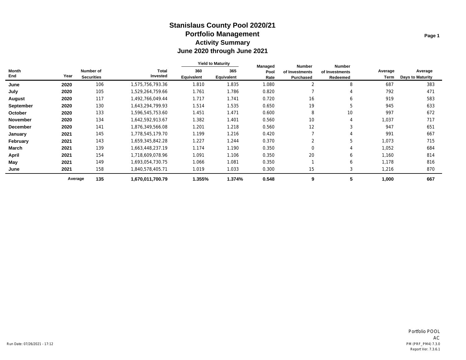# **June 2020 through June 2021 Activity Summary Portfolio Management Stanislaus County Pool 2020/21**

|                 |         |                                | <b>Total</b><br>Invested | <b>Yield to Maturity</b> |                   | Managed      | <b>Number</b>               | <b>Number</b>              |                 |                                    |  |
|-----------------|---------|--------------------------------|--------------------------|--------------------------|-------------------|--------------|-----------------------------|----------------------------|-----------------|------------------------------------|--|
| Month<br>End    | Year    | Number of<br><b>Securities</b> |                          | 360<br>Equivalent        | 365<br>Equivalent | Pool<br>Rate | of Investments<br>Purchased | of Investments<br>Redeemed | Average<br>Term | Average<br><b>Days to Maturity</b> |  |
| June            | 2020    | 106                            | 1,575,756,793.36         | 1.810                    | 1.835             | 1.080        | $\overline{2}$              | 8                          | 687             | 383                                |  |
| July            | 2020    | 105                            | 1,529,264,759.66         | 1.761                    | 1.786             | 0.820        |                             | 4                          | 792             | 471                                |  |
| August          | 2020    | 117                            | 1,492,766,049.44         | 1.717                    | 1.741             | 0.720        | 16                          | 6                          | 919             | 583                                |  |
| September       | 2020    | 130                            | 1,643,294,799.93         | 1.514                    | 1.535             | 0.650        | 19                          | 5                          | 945             | 633                                |  |
| October         | 2020    | 133                            | 1,596,545,753.60         | 1.451                    | 1.471             | 0.600        | 8                           | 10 <sup>°</sup>            | 997             | 672                                |  |
| <b>November</b> | 2020    | 134                            | 1,642,592,913.67         | 1.382                    | 1.401             | 0.560        | 10                          |                            | 1,037           | 717                                |  |
| <b>December</b> | 2020    | 141                            | 876,349,566.08,          | 1.201                    | 1.218             | 0.560        | 12                          | 3                          | 947             | 651                                |  |
| January         | 2021    | 145                            | 1,778,545,179.70         | 1.199                    | 1.216             | 0.420        |                             |                            | 991             | 667                                |  |
| February        | 2021    | 143                            | 1,659,345,842.28         | 1.227                    | 1.244             | 0.370        |                             | 5                          | 1,073           | 715                                |  |
| March           | 2021    | 139                            | 1,663,448,237.19         | 1.174                    | 1.190             | 0.350        | $\Omega$                    |                            | 1,052           | 684                                |  |
| April           | 2021    | 154                            | 1,718,609,078.96         | 1.091                    | 1.106             | 0.350        | 20                          | 6                          | 1,160           | 814                                |  |
| May             | 2021    | 149                            | 1,693,054,730.75         | 1.066                    | 1.081             | 0.350        |                             | 6                          | 1,178           | 816                                |  |
| June            | 2021    | 158                            | 840,578,405.71.          | 1.019                    | 1.033             | 0.300        | 15                          | 3                          | 1,216           | 870                                |  |
|                 | Average | 135                            | 1,670,011,700.79         | 1.355%                   | 1.374%            | 0.548        | 9                           | b.                         | 1,000           | 667                                |  |

**Page 1**